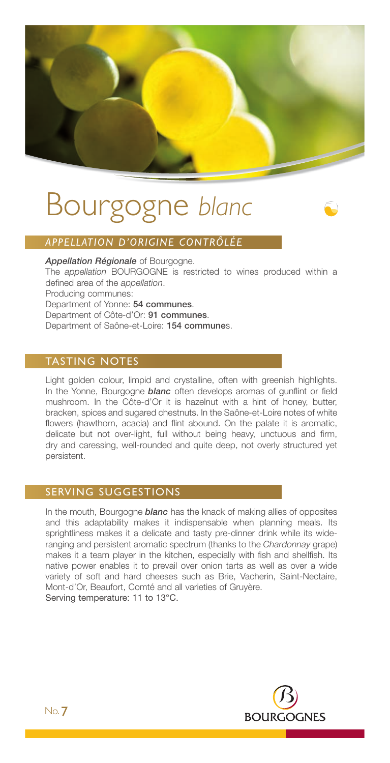# Bourgogne *blanc*

# *APPELLATION D'ORIGINE CONTRÔLÉE*

*Appellation Régionale* of Bourgogne. The *appellation* BOURGOGNE is restricted to wines produced within a defined area of the *appellation*. Producing communes: Department of Yonne: 54 communes. Department of Côte-d'Or: 91 communes. Department of Saône-et-Loire: 154 communes.

## TASTING NOTES

Light golden colour, limpid and crystalline, often with greenish highlights. In the Yonne, Bourgogne *blanc* often develops aromas of gunflint or field mushroom. In the Côte-d'Or it is hazelnut with a hint of honey, butter, bracken, spices and sugared chestnuts. In the Saône-et-Loire notes of white flowers (hawthorn, acacia) and flint abound. On the palate it is aromatic. delicate but not over-light, full without being heavy, unctuous and firm, dry and caressing, well-rounded and quite deep, not overly structured yet persistent.

## SERVING SUGGESTIONS

In the mouth, Bourgogne *blanc* has the knack of making allies of opposites and this adaptability makes it indispensable when planning meals. Its sprightliness makes it a delicate and tasty pre-dinner drink while its wideranging and persistent aromatic spectrum (thanks to the *Chardonnay* grape) makes it a team player in the kitchen, especially with fish and shellfish. Its native power enables it to prevail over onion tarts as well as over a wide variety of soft and hard cheeses such as Brie, Vacherin, Saint-Nectaire, Mont-d'Or, Beaufort, Comté and all varieties of Gruyère. Serving temperature: 11 to 13°C.

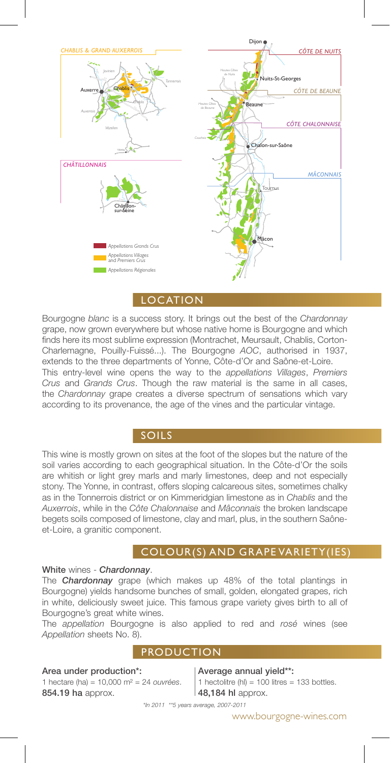

LOCATION

Bourgogne *blanc* is a success story. It brings out the best of the *Chardonnay* grape, now grown everywhere but whose native home is Bourgogne and which finds here its most sublime expression (Montrachet, Meursault, Chablis, Corton-Charlemagne, Pouilly-Fuissé...). The Bourgogne *AOC*, authorised in 1937, extends to the three departments of Yonne, Côte-d'Or and Saône-et-Loire. This entry-level wine opens the way to the *appellations Villages*, *Premiers Crus* and *Grands Crus*. Though the raw material is the same in all cases, the *Chardonnay* grape creates a diverse spectrum of sensations which vary according to its provenance, the age of the vines and the particular vintage.

# SOILS

This wine is mostly grown on sites at the foot of the slopes but the nature of the soil varies according to each geographical situation. In the Côte-d'Or the soils are whitish or light grey marls and marly limestones, deep and not especially stony. The Yonne, in contrast, offers sloping calcareous sites, sometimes chalky as in the Tonnerrois district or on Kimmeridgian limestone as in *Chablis* and the *Auxerrois*, while in the *Côte Chalonnaise* and *Mâconnais* the broken landscape begets soils composed of limestone, clay and marl, plus, in the southern Saôneet-Loire, a granitic component.

## COLOUR(S) AND GRAPE VARIETY(IES)

### White wines - *Chardonnay*.

The *Chardonnay* grape (which makes up 48% of the total plantings in Bourgogne) yields handsome bunches of small, golden, elongated grapes, rich in white, deliciously sweet juice. This famous grape variety gives birth to all of Bourgogne's great white wines.

The *appellation* Bourgogne is also applied to red and *rosé* wines (see *Appellation* sheets No. 8).

### PRODUCTION

#### Area under production\*:

1 hectare (ha) = 10,000 m² = 24 *ouvrées*. 854.19 ha approx.

#### Average annual yield\*\*: 1 hectolitre (hl) =  $100$  litres =  $133$  bottles. 48,184 hl approx.

*\*In 2011 \*\*5 years average, 2007-2011*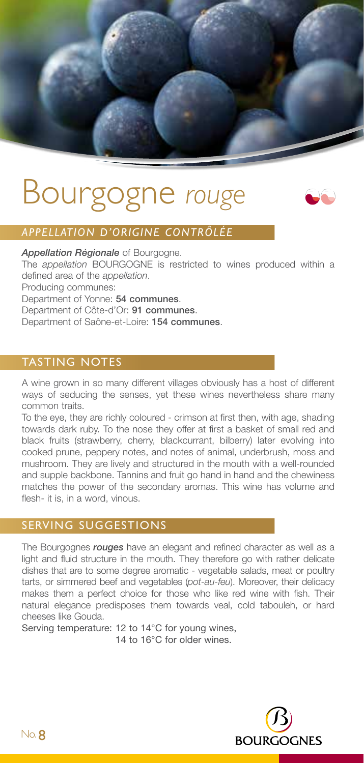

# Bourgogne *rouge*



# *APPELLATION D'ORIGINE CONTRÔLÉE*

*Appellation Régionale* of Bourgogne.

The *appellation* BOURGOGNE is restricted to wines produced within a defined area of the *appellation*.

Producing communes:

Department of Yonne: 54 communes.

Department of Côte-d'Or: 91 communes.

Department of Saône-et-Loire: 154 communes.

## TASTING NOTES

A wine grown in so many different villages obviously has a host of different ways of seducing the senses, yet these wines nevertheless share many common traits.

To the eye, they are richly coloured - crimson at first then, with age, shading towards dark ruby. To the nose they offer at first a basket of small red and black fruits (strawberry, cherry, blackcurrant, bilberry) later evolving into cooked prune, peppery notes, and notes of animal, underbrush, moss and mushroom. They are lively and structured in the mouth with a well-rounded and supple backbone. Tannins and fruit go hand in hand and the chewiness matches the power of the secondary aromas. This wine has volume and flesh- it is, in a word, vinous.

## SERVING SUGGESTIONS

The Bourgognes *rouges* have an elegant and refined character as well as a light and fluid structure in the mouth. They therefore go with rather delicate dishes that are to some degree aromatic - vegetable salads, meat or poultry tarts, or simmered beef and vegetables (*pot-au-feu*). Moreover, their delicacy makes them a perfect choice for those who like red wine with fish. Their natural elegance predisposes them towards veal, cold tabouleh, or hard cheeses like Gouda.

Serving temperature: 12 to 14°C for young wines, 14 to 16°C for older wines.